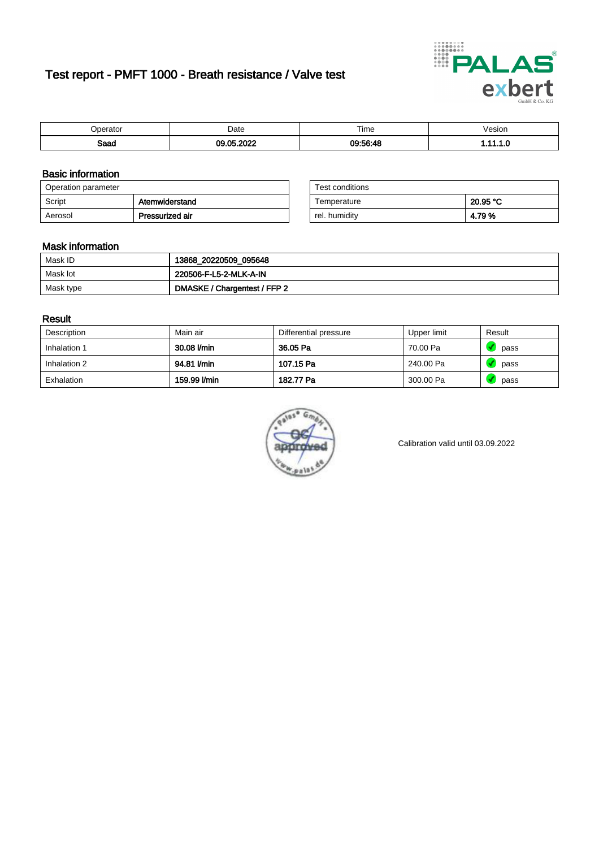# Test report - PMFT 1000 - Breath resistance / Valve test



| )perator | Date               | $- \cdot$<br>rime | /esion |
|----------|--------------------|-------------------|--------|
| Saad     | 000<br>$\sim$<br>. | 09:56:48          | .      |

### Basic information

| Operation parameter |                 | Test conditions |          |
|---------------------|-----------------|-----------------|----------|
| Script              | Atemwiderstand  | Temperature     | 20.95 °C |
| Aerosol             | Pressurized air | rel. humidity   | 4.79%    |

| Test conditions |          |
|-----------------|----------|
| Temperature     | 20.95 °C |
| rel. humidity   | 4.79%    |

### Mask information

| Mask ID   | 13868_20220509_095648        |
|-----------|------------------------------|
| Mask lot  | 220506-F-L5-2-MLK-A-IN       |
| Mask type | DMASKE / Chargentest / FFP 2 |

### Result

| Description  | Main air     | Differential pressure | Upper limit | Result |
|--------------|--------------|-----------------------|-------------|--------|
| Inhalation 1 | 30.08 l/min  | 36.05 Pa              | 70.00 Pa    | pass   |
| Inhalation 2 | 94.81 l/min  | 107.15 Pa             | 240.00 Pa   | pass   |
| Exhalation   | 159.99 l/min | 182.77 Pa             | 300.00 Pa   | pass   |



Calibration valid until 03.09.2022